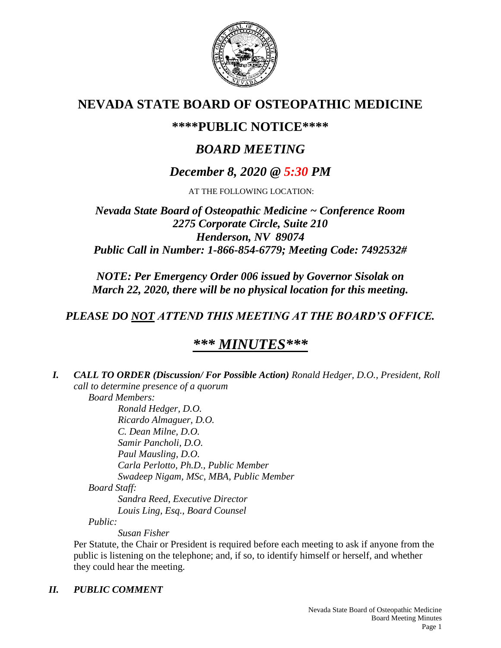

# **NEVADA STATE BOARD OF OSTEOPATHIC MEDICINE**

## **\*\*\*\*PUBLIC NOTICE\*\*\*\***

# *BOARD MEETING*

# *December 8, 2020 @ 5:30 PM*

AT THE FOLLOWING LOCATION:

## *Nevada State Board of Osteopathic Medicine ~ Conference Room 2275 Corporate Circle, Suite 210 Henderson, NV 89074 Public Call in Number: 1-866-854-6779; Meeting Code: 7492532#*

*NOTE: Per Emergency Order 006 issued by Governor Sisolak on March 22, 2020, there will be no physical location for this meeting.*

## *PLEASE DO NOT ATTEND THIS MEETING AT THE BOARD'S OFFICE.*

# *\*\*\* MINUTES\*\*\**

*I. CALL TO ORDER (Discussion/ For Possible Action) Ronald Hedger, D.O., President, Roll call to determine presence of a quorum Board Members:*

*Ronald Hedger, D.O. Ricardo Almaguer, D.O. C. Dean Milne, D.O. Samir Pancholi, D.O. Paul Mausling, D.O. Carla Perlotto, Ph.D., Public Member Swadeep Nigam, MSc, MBA, Public Member Board Staff: Sandra Reed, Executive Director Louis Ling, Esq., Board Counsel Public:*

*Susan Fisher*

Per Statute, the Chair or President is required before each meeting to ask if anyone from the public is listening on the telephone; and, if so, to identify himself or herself, and whether they could hear the meeting.

## *II. PUBLIC COMMENT*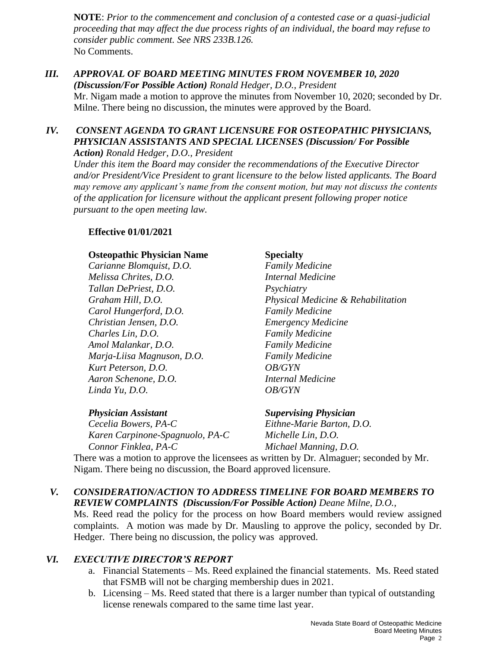**NOTE**: *Prior to the commencement and conclusion of a contested case or a quasi-judicial proceeding that may affect the due process rights of an individual, the board may refuse to consider public comment. See NRS 233B.126.* No Comments.

#### *III. APPROVAL OF BOARD MEETING MINUTES FROM NOVEMBER 10, 2020 (Discussion/For Possible Action) Ronald Hedger, D.O., President* Mr. Nigam made a motion to approve the minutes from November 10, 2020; seconded by Dr. Milne. There being no discussion, the minutes were approved by the Board.

### *IV. CONSENT AGENDA TO GRANT LICENSURE FOR OSTEOPATHIC PHYSICIANS, PHYSICIAN ASSISTANTS AND SPECIAL LICENSES (Discussion/ For Possible Action) Ronald Hedger, D.O., President*

*Under this item the Board may consider the recommendations of the Executive Director and/or President/Vice President to grant licensure to the below listed applicants. The Board may remove any applicant's name from the consent motion, but may not discuss the contents of the application for licensure without the applicant present following proper notice pursuant to the open meeting law.*

### **Effective 01/01/2021**

#### **Osteopathic Physician Name Specialty**

*Carianne Blomquist, D.O. Family Medicine Melissa Chrites, D.O. Internal Medicine Tallan DePriest, D.O. Psychiatry Carol Hungerford, D.O. Family Medicine Christian Jensen, D.O. Emergency Medicine Charles Lin, D.O. Family Medicine Amol Malankar, D.O. Family Medicine Marja-Liisa Magnuson, D.O. Family Medicine Kurt Peterson, D.O. OB/GYN Aaron Schenone, D.O. Internal Medicine Linda Yu, D.O. OB/GYN*

*Graham Hill, D.O. Physical Medicine & Rehabilitation*

*Cecelia Bowers, PA-C Eithne-Marie Barton, D.O. Karen Carpinone-Spagnuolo, PA-C Michelle Lin, D.O. Connor Finklea, PA-C Michael Manning, D.O.*

#### *Physician Assistant Supervising Physician*

There was a motion to approve the licensees as written by Dr. Almaguer; seconded by Mr. Nigam. There being no discussion, the Board approved licensure.

### *V. CONSIDERATION/ACTION TO ADDRESS TIMELINE FOR BOARD MEMBERS TO REVIEW COMPLAINTS (Discussion/For Possible Action) Deane Milne, D.O.,*

Ms. Reed read the policy for the process on how Board members would review assigned complaints. A motion was made by Dr. Mausling to approve the policy, seconded by Dr. Hedger. There being no discussion, the policy was approved.

### *VI. EXECUTIVE DIRECTOR'S REPORT*

- a. Financial Statements Ms. Reed explained the financial statements. Ms. Reed stated that FSMB will not be charging membership dues in 2021.
- b. Licensing Ms. Reed stated that there is a larger number than typical of outstanding license renewals compared to the same time last year.